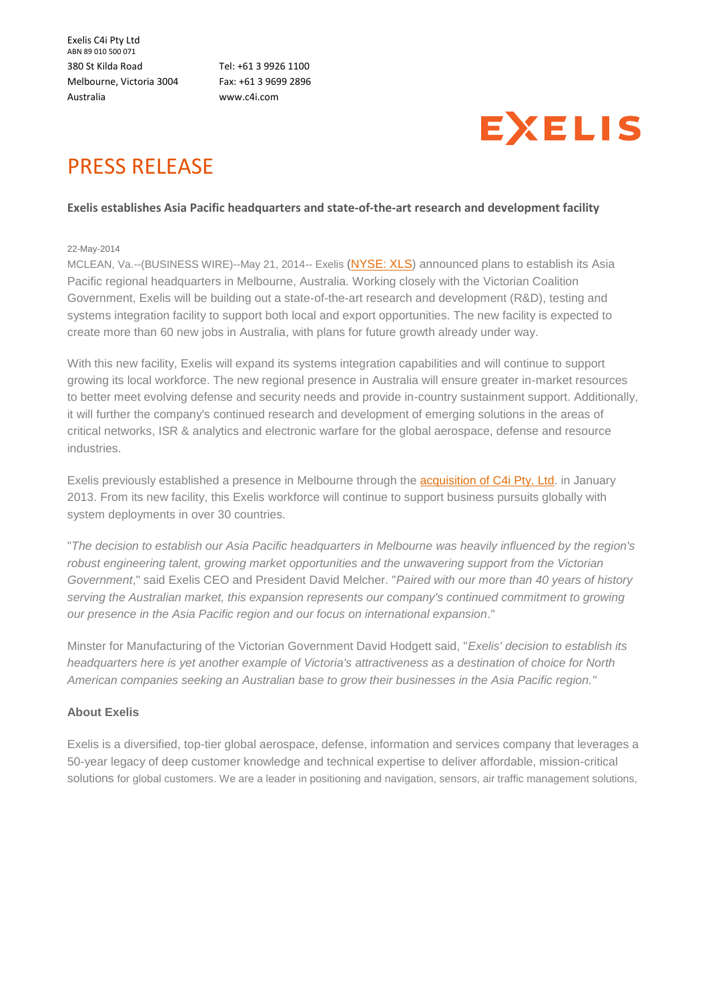Exelis C4i Pty Ltd ABN 89 010 500 071 380 St Kilda Road Melbourne, Victoria 3004 Australia

Tel: +61 3 9926 1100 Fax: +61 3 9699 2896 [www.c4i.com](http://www.c4i.com/)



## PRESS RELEASE

## **Exelis establishes Asia Pacific headquarters and state-of-the-art research and development facility**

## 22-May-2014

MCLEAN, Va.--(BUSINESS WIRE)--May 21, 2014-- Exelis [\(NYSE: XLS\)](http://web.archive.org/web/20150203220002mp_/http:/cts.businesswire.com/ct/CT?id=smartlink&url=http%3A%2F%2Fwww.exelisinc.com&esheet=50870342&newsitemid=20140521005175&lan=en-US&anchor=NYSE%3A+XLS&index=1&md5=ebb3fb0c13407a9367e7937597a2fa59) announced plans to establish its Asia Pacific regional headquarters in Melbourne, Australia. Working closely with the Victorian Coalition Government, Exelis will be building out a state-of-the-art research and development (R&D), testing and systems integration facility to support both local and export opportunities. The new facility is expected to create more than 60 new jobs in Australia, with plans for future growth already under way.

With this new facility, Exelis will expand its systems integration capabilities and will continue to support growing its local workforce. The new regional presence in Australia will ensure greater in-market resources to better meet evolving defense and security needs and provide in-country sustainment support. Additionally, it will further the company's continued research and development of emerging solutions in the areas of critical networks, ISR & analytics and electronic warfare for the global aerospace, defense and resource industries.

Exelis previously established a presence in Melbourne through the [acquisition of C4i Pty. Ltd.](http://web.archive.org/web/20150203220002mp_/http:/cts.businesswire.com/ct/CT?id=smartlink&url=http%3A%2F%2Fwww.exelisinc.com%2FNews%2FPressReleases%2FPages%2FITT-Exelis-completes-acquisition-of-C4i-Pty-Ltd.aspx&esheet=50870342&newsitemid=20140521005175&lan=en-US&anchor=acquisition+of+C4i+Pty.+Ltd&index=2&md5=58891a2080d486ade717af2f4ea1c29d) in January 2013. From its new facility, this Exelis workforce will continue to support business pursuits globally with system deployments in over 30 countries.

"*The decision to establish our Asia Pacific headquarters in Melbourne was heavily influenced by the region's robust engineering talent, growing market opportunities and the unwavering support from the Victorian Government*," said Exelis CEO and President David Melcher. "*Paired with our more than 40 years of history serving the Australian market, this expansion represents our company's continued commitment to growing our presence in the Asia Pacific region and our focus on international expansion*."

Minster for Manufacturing of the Victorian Government David Hodgett said, "*Exelis' decision to establish its headquarters here is yet another example of Victoria's attractiveness as a destination of choice for North American companies seeking an Australian base to grow their businesses in the Asia Pacific region."*

## **About Exelis**

Exelis is a diversified, top-tier global aerospace, defense, information and services company that leverages a 50-year legacy of deep customer knowledge and technical expertise to deliver affordable, mission-critical solutions for global customers. We are a leader in positioning and navigation, sensors, air traffic management solutions,